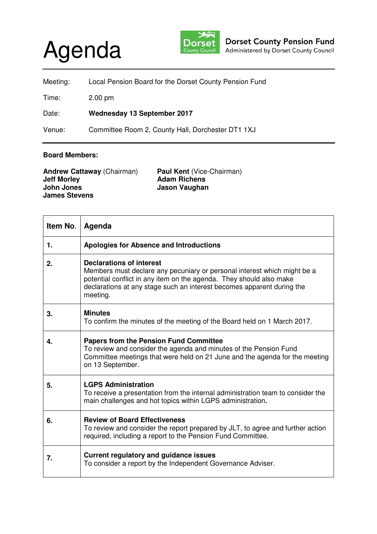## Agenda



| Meeting: | Local Pension Board for the Dorset County Pension Fund |
|----------|--------------------------------------------------------|
| Time:    | $2.00 \text{ pm}$                                      |
| Date:    | <b>Wednesday 13 September 2017</b>                     |

Venue: Committee Room 2, County Hall, Dorchester DT1 1XJ

## **Board Members:**

| <b>Andrew Cattaway (Chairman)</b> | <b>Paul Kent (Vice-Chairman)</b> |
|-----------------------------------|----------------------------------|
| <b>Jeff Morley</b>                | <b>Adam Richens</b>              |
| John Jones                        | Jason Vaughan                    |
| <b>James Stevens</b>              |                                  |

| Item No. | Agenda                                                                                                                                                                                                                                                                   |
|----------|--------------------------------------------------------------------------------------------------------------------------------------------------------------------------------------------------------------------------------------------------------------------------|
| 1.       | Apologies for Absence and Introductions                                                                                                                                                                                                                                  |
| 2.       | <b>Declarations of interest</b><br>Members must declare any pecuniary or personal interest which might be a<br>potential conflict in any item on the agenda. They should also make<br>declarations at any stage such an interest becomes apparent during the<br>meeting. |
| 3.       | <b>Minutes</b><br>To confirm the minutes of the meeting of the Board held on 1 March 2017.                                                                                                                                                                               |
| 4.       | <b>Papers from the Pension Fund Committee</b><br>To review and consider the agenda and minutes of the Pension Fund<br>Committee meetings that were held on 21 June and the agenda for the meeting<br>on 13 September.                                                    |
| 5.       | <b>LGPS Administration</b><br>To receive a presentation from the internal administration team to consider the<br>main challenges and hot topics within LGPS administration.                                                                                              |
| 6.       | <b>Review of Board Effectiveness</b><br>To review and consider the report prepared by JLT, to agree and further action<br>required, including a report to the Pension Fund Committee.                                                                                    |
| 7.       | <b>Current regulatory and guidance issues</b><br>To consider a report by the Independent Governance Adviser.                                                                                                                                                             |